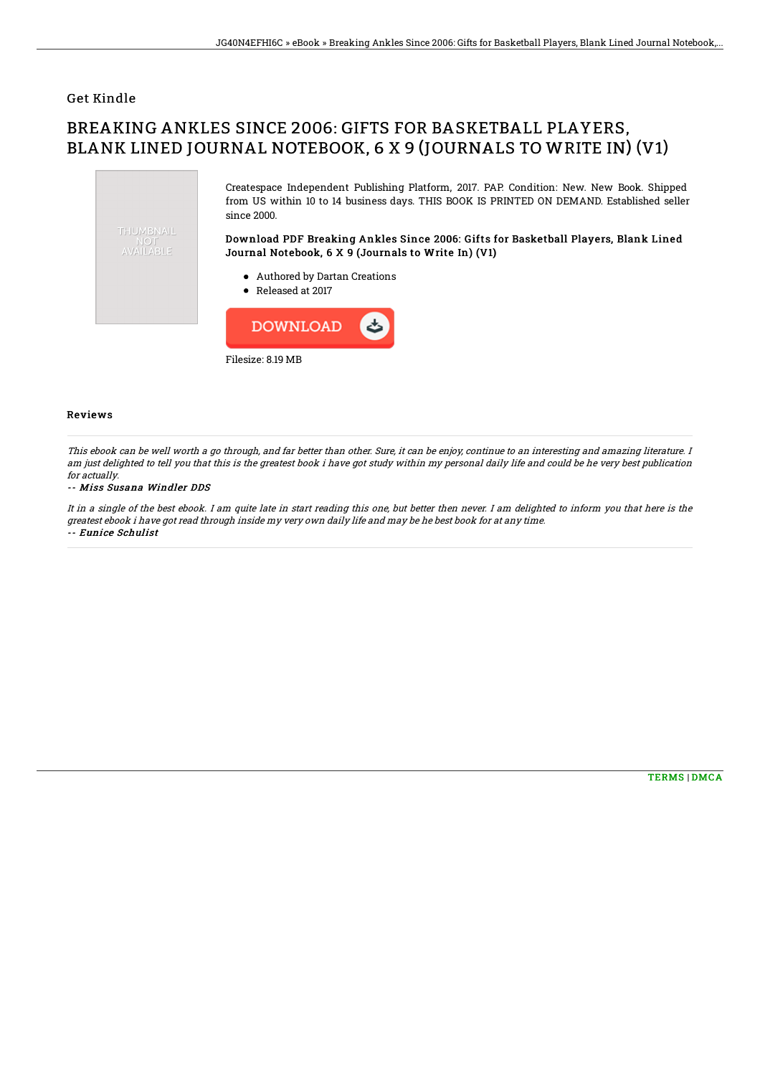### Get Kindle

# BREAKING ANKLES SINCE 2006: GIFTS FOR BASKETBALL PLAYERS, BLANK LINED JOURNAL NOTEBOOK, 6 X 9 (JOURNALS TO WRITE IN) (V1)



Filesize: 8.19 MB

#### Reviews

This ebook can be well worth <sup>a</sup> go through, and far better than other. Sure, it can be enjoy, continue to an interesting and amazing literature. I am just delighted to tell you that this is the greatest book i have got study within my personal daily life and could be he very best publication for actually.

#### -- Miss Susana Windler DDS

It in <sup>a</sup> single of the best ebook. I am quite late in start reading this one, but better then never. I am delighted to inform you that here is the greatest ebook i have got read through inside my very own daily life and may be he best book for at any time. -- Eunice Schulist